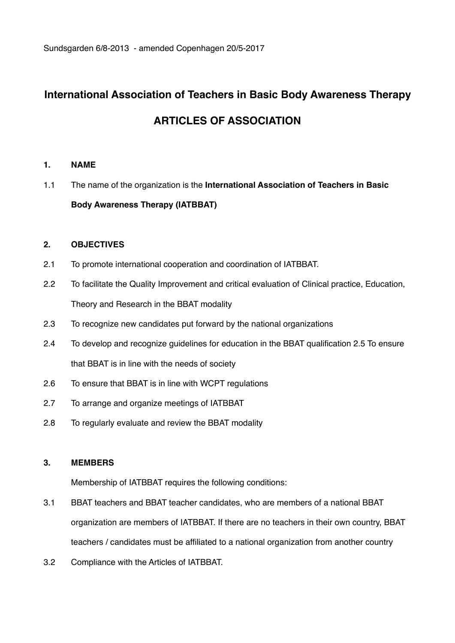# **International Association of Teachers in Basic Body Awareness Therapy ARTICLES OF ASSOCIATION**

# **1. NAME**

1.1 The name of the organization is the **International Association of Teachers in Basic Body Awareness Therapy (IATBBAT)** 

# **2. OBJECTIVES**

- 2.1 To promote international cooperation and coordination of IATBBAT.
- 2.2 To facilitate the Quality Improvement and critical evaluation of Clinical practice, Education, Theory and Research in the BBAT modality
- 2.3 To recognize new candidates put forward by the national organizations
- 2.4 To develop and recognize guidelines for education in the BBAT qualification 2.5 To ensure that BBAT is in line with the needs of society
- 2.6 To ensure that BBAT is in line with WCPT regulations
- 2.7 To arrange and organize meetings of IATBBAT
- 2.8 To regularly evaluate and review the BBAT modality

## **3. MEMBERS**

Membership of IATBBAT requires the following conditions:

- 3.1 BBAT teachers and BBAT teacher candidates, who are members of a national BBAT organization are members of IATBBAT. If there are no teachers in their own country, BBAT teachers / candidates must be affiliated to a national organization from another country
- 3.2 Compliance with the Articles of IATBBAT.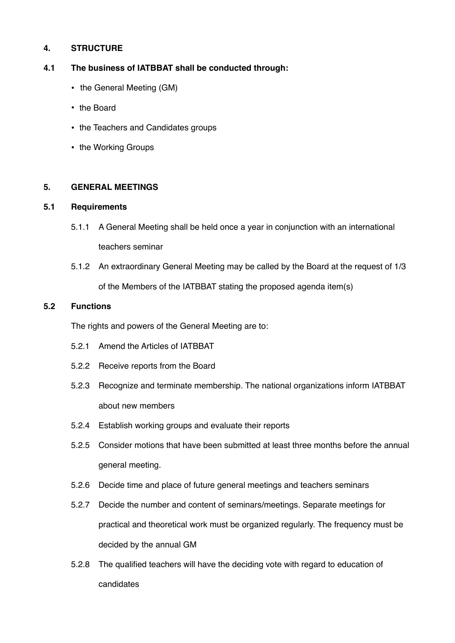# **4. STRUCTURE**

## **4.1 The business of IATBBAT shall be conducted through:**

- the General Meeting (GM)
- the Board
- the Teachers and Candidates groups
- the Working Groups

#### **5. GENERAL MEETINGS**

## **5.1 Requirements**

- 5.1.1 A General Meeting shall be held once a year in conjunction with an international teachers seminar
- 5.1.2 An extraordinary General Meeting may be called by the Board at the request of 1/3 of the Members of the IATBBAT stating the proposed agenda item(s)

#### **5.2 Functions**

The rights and powers of the General Meeting are to:

- 5.2.1 Amend the Articles of IATBBAT
- 5.2.2 Receive reports from the Board
- 5.2.3 Recognize and terminate membership. The national organizations inform IATBBAT about new members
- 5.2.4 Establish working groups and evaluate their reports
- 5.2.5 Consider motions that have been submitted at least three months before the annual general meeting.
- 5.2.6 Decide time and place of future general meetings and teachers seminars
- 5.2.7 Decide the number and content of seminars/meetings. Separate meetings for practical and theoretical work must be organized regularly. The frequency must be decided by the annual GM
- 5.2.8 The qualified teachers will have the deciding vote with regard to education of candidates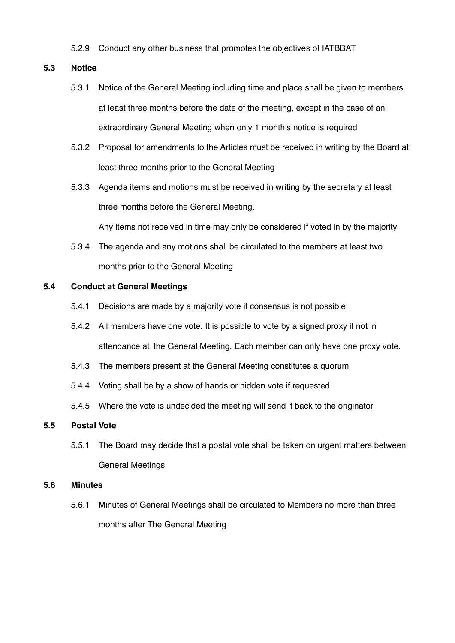5.2.9 Conduct any other business that promotes the objectives of IATBBAT

#### **5.3 Notice**

- 5.3.1 Notice of the General Meeting including time and place shall be given to members at least three months before the date of the meeting, except in the case of an extraordinary General Meeting when only 1 month's notice is required
- 5.3.2 Proposal for amendments to the Articles must be received in writing by the Board at least three months prior to the General Meeting
- 5.3.3 Agenda items and motions must be received in writing by the secretary at least three months before the General Meeting.

Any items not received in time may only be considered if voted in by the majority

5.3.4 The agenda and any motions shall be circulated to the members at least two months prior to the General Meeting

#### **5.4 Conduct at General Meetings**

- 5.4.1 Decisions are made by a majority vote if consensus is not possible
- 5.4.2 All members have one vote. It is possible to vote by a signed proxy if not in attendance at the General Meeting. Each member can only have one proxy vote.
- 5.4.3 The members present at the General Meeting constitutes a quorum
- 5.4.4 Voting shall be by a show of hands or hidden vote if requested
- 5.4.5 Where the vote is undecided the meeting will send it back to the originator

#### **5.5 Postal Vote**

5.5.1 The Board may decide that a postal vote shall be taken on urgent matters between General Meetings

#### **5.6 Minutes**

5.6.1 Minutes of General Meetings shall be circulated to Members no more than three months after The General Meeting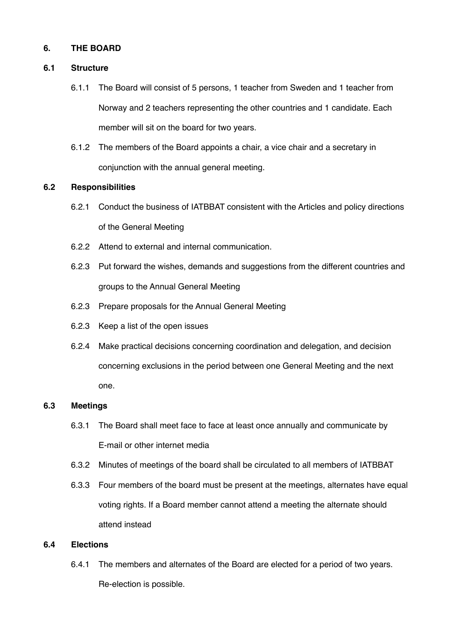## **6. THE BOARD**

#### **6.1 Structure**

- 6.1.1 The Board will consist of 5 persons, 1 teacher from Sweden and 1 teacher from Norway and 2 teachers representing the other countries and 1 candidate. Each member will sit on the board for two years.
- 6.1.2 The members of the Board appoints a chair, a vice chair and a secretary in conjunction with the annual general meeting.

#### **6.2 Responsibilities**

- 6.2.1 Conduct the business of IATBBAT consistent with the Articles and policy directions of the General Meeting
- 6.2.2 Attend to external and internal communication.
- 6.2.3 Put forward the wishes, demands and suggestions from the different countries and groups to the Annual General Meeting
- 6.2.3 Prepare proposals for the Annual General Meeting
- 6.2.3 Keep a list of the open issues
- 6.2.4 Make practical decisions concerning coordination and delegation, and decision concerning exclusions in the period between one General Meeting and the next one.

#### **6.3 Meetings**

- 6.3.1 The Board shall meet face to face at least once annually and communicate by E-mail or other internet media
- 6.3.2 Minutes of meetings of the board shall be circulated to all members of IATBBAT
- 6.3.3 Four members of the board must be present at the meetings, alternates have equal voting rights. If a Board member cannot attend a meeting the alternate should attend instead

#### **6.4 Elections**

6.4.1 The members and alternates of the Board are elected for a period of two years. Re-election is possible.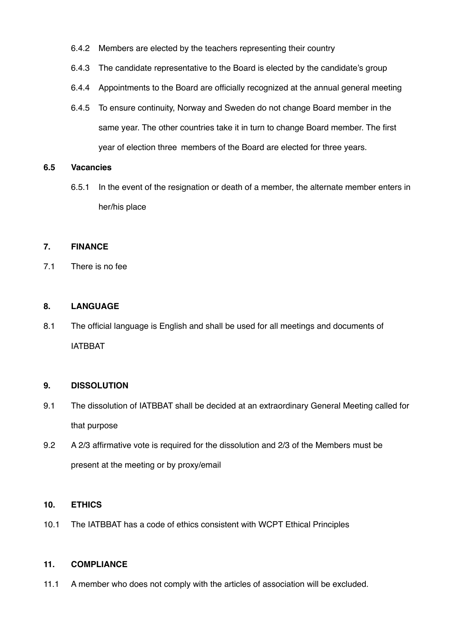- 6.4.2 Members are elected by the teachers representing their country
- 6.4.3 The candidate representative to the Board is elected by the candidate's group
- 6.4.4 Appointments to the Board are officially recognized at the annual general meeting
- 6.4.5 To ensure continuity, Norway and Sweden do not change Board member in the same year. The other countries take it in turn to change Board member. The first year of election three members of the Board are elected for three years.

## **6.5 Vacancies**

6.5.1 In the event of the resignation or death of a member, the alternate member enters in her/his place

# **7. FINANCE**

7.1 There is no fee

## **8. LANGUAGE**

8.1 The official language is English and shall be used for all meetings and documents of IATBBAT

## **9. DISSOLUTION**

- 9.1 The dissolution of IATBBAT shall be decided at an extraordinary General Meeting called for that purpose
- 9.2 A 2/3 affirmative vote is required for the dissolution and 2/3 of the Members must be present at the meeting or by proxy/email

#### **10. ETHICS**

10.1 The IATBBAT has a code of ethics consistent with WCPT Ethical Principles

# **11. COMPLIANCE**

11.1 A member who does not comply with the articles of association will be excluded.